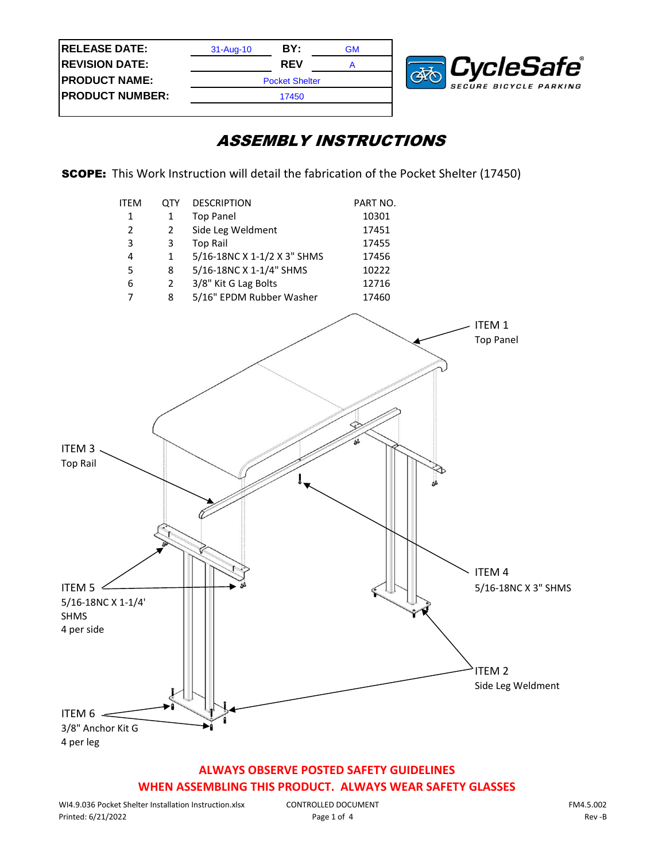| <b>RELEASE DATE:</b>   | $31 - Aug-10$         | BY:        | GM |  |
|------------------------|-----------------------|------------|----|--|
| <b>REVISION DATE:</b>  |                       | <b>REV</b> |    |  |
| <b>PRODUCT NAME:</b>   | <b>Pocket Shelter</b> |            |    |  |
| <b>PRODUCT NUMBER:</b> | 17450                 |            |    |  |
|                        |                       |            |    |  |



SCOPE: This Work Instruction will detail the fabrication of the Pocket Shelter (17450)



## **ALWAYS OBSERVE POSTED SAFETY GUIDELINES WHEN ASSEMBLING THIS PRODUCT. ALWAYS WEAR SAFETY GLASSES**

CONTROLLED DOCUMENT Page 1 of 4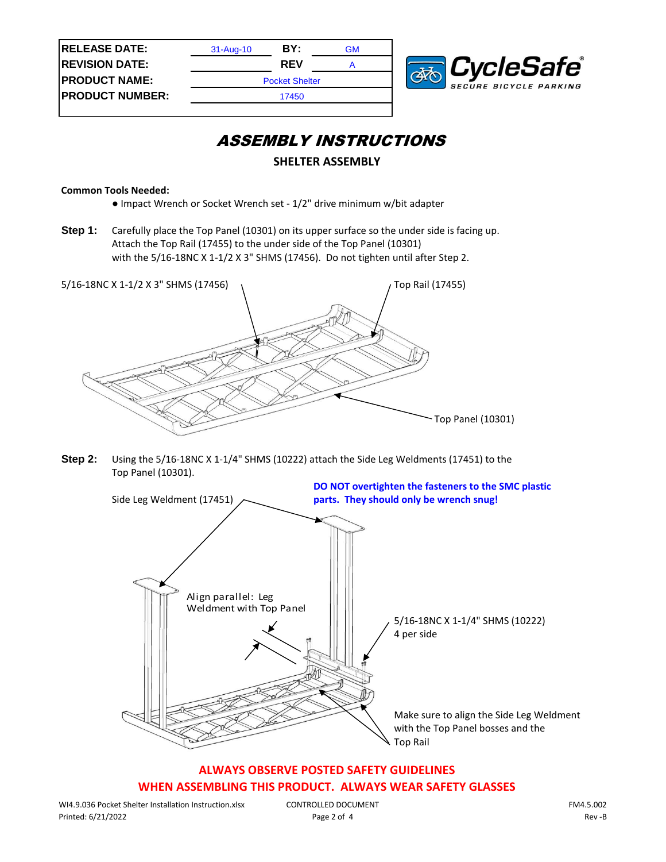| <b>RELEASE DATE:</b>   | $31 - Aug-10$         | BY:        | GM |  |  |
|------------------------|-----------------------|------------|----|--|--|
| <b>REVISION DATE:</b>  |                       | <b>REV</b> |    |  |  |
| <b>PRODUCT NAME:</b>   | <b>Pocket Shelter</b> |            |    |  |  |
| <b>PRODUCT NUMBER:</b> | 17450                 |            |    |  |  |
|                        |                       |            |    |  |  |



#### **SHELTER ASSEMBLY**

#### **Common Tools Needed:**

- Impact Wrench or Socket Wrench set 1/2" drive minimum w/bit adapter
- **Step 1:** Carefully place the Top Panel (10301) on its upper surface so the under side is facing up. Attach the Top Rail (17455) to the under side of the Top Panel (10301) with the 5/16-18NC X 1-1/2 X 3" SHMS (17456). Do not tighten until after Step 2.



**Step 2:** Using the 5/16-18NC X 1-1/4" SHMS (10222) attach the Side Leg Weldments (17451) to the Top Panel (10301).



# **ALWAYS OBSERVE POSTED SAFETY GUIDELINES**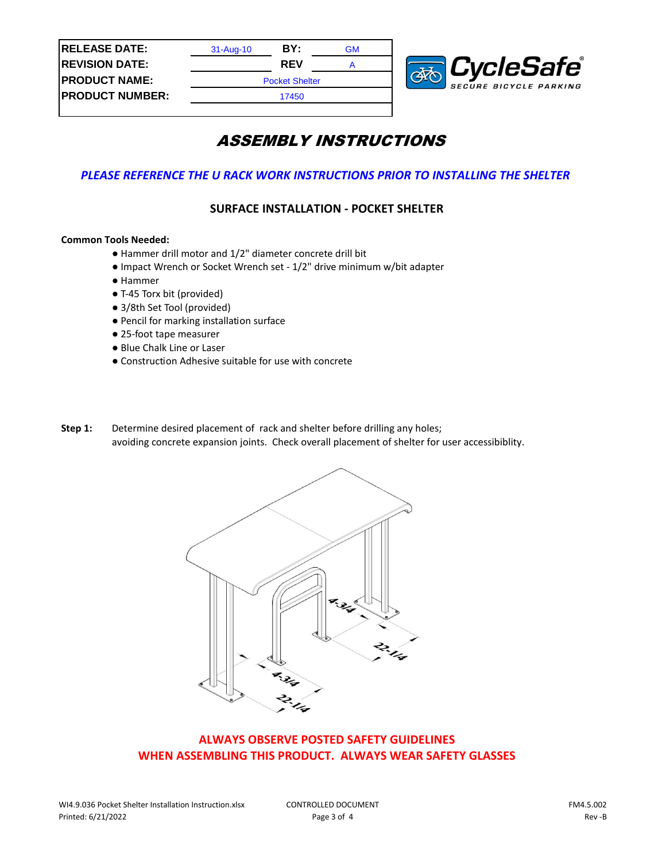

#### *PLEASE REFERENCE THE U RACK WORK INSTRUCTIONS PRIOR TO INSTALLING THE SHELTER*

#### **SURFACE INSTALLATION - POCKET SHELTER**

#### **Common Tools Needed:**

- Hammer drill motor and 1/2" diameter concrete drill bit
- Impact Wrench or Socket Wrench set 1/2" drive minimum w/bit adapter
- Hammer
- T-45 Torx bit (provided)
- 3/8th Set Tool (provided)
- Pencil for marking installation surface
- 25-foot tape measurer
- Blue Chalk Line or Laser
- Construction Adhesive suitable for use with concrete
- **Step 1:** Determine desired placement of rack and shelter before drilling any holes; avoiding concrete expansion joints. Check overall placement of shelter for user accessibiblity.



#### **ALWAYS OBSERVE POSTED SAFETY GUIDELINES WHEN ASSEMBLING THIS PRODUCT. ALWAYS WEAR SAFETY GLASSES**